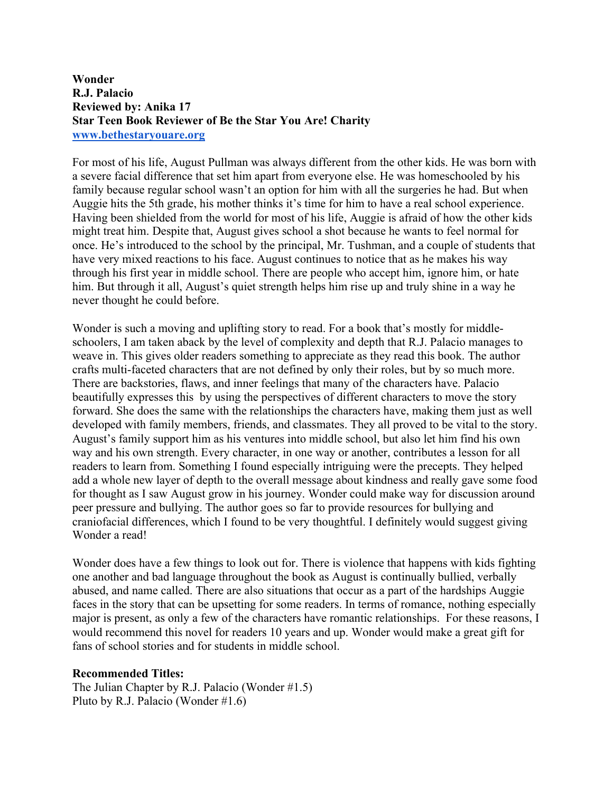## **Wonder R.J. Palacio Reviewed by: Anika 17 Star Teen Book Reviewer of Be the Star You Are! Charity www.bethestaryouare.org**

For most of his life, August Pullman was always different from the other kids. He was born with a severe facial difference that set him apart from everyone else. He was homeschooled by his family because regular school wasn't an option for him with all the surgeries he had. But when Auggie hits the 5th grade, his mother thinks it's time for him to have a real school experience. Having been shielded from the world for most of his life, Auggie is afraid of how the other kids might treat him. Despite that, August gives school a shot because he wants to feel normal for once. He's introduced to the school by the principal, Mr. Tushman, and a couple of students that have very mixed reactions to his face. August continues to notice that as he makes his way through his first year in middle school. There are people who accept him, ignore him, or hate him. But through it all, August's quiet strength helps him rise up and truly shine in a way he never thought he could before.

Wonder is such a moving and uplifting story to read. For a book that's mostly for middleschoolers, I am taken aback by the level of complexity and depth that R.J. Palacio manages to weave in. This gives older readers something to appreciate as they read this book. The author crafts multi-faceted characters that are not defined by only their roles, but by so much more. There are backstories, flaws, and inner feelings that many of the characters have. Palacio beautifully expresses this by using the perspectives of different characters to move the story forward. She does the same with the relationships the characters have, making them just as well developed with family members, friends, and classmates. They all proved to be vital to the story. August's family support him as his ventures into middle school, but also let him find his own way and his own strength. Every character, in one way or another, contributes a lesson for all readers to learn from. Something I found especially intriguing were the precepts. They helped add a whole new layer of depth to the overall message about kindness and really gave some food for thought as I saw August grow in his journey. Wonder could make way for discussion around peer pressure and bullying. The author goes so far to provide resources for bullying and craniofacial differences, which I found to be very thoughtful. I definitely would suggest giving Wonder a read!

Wonder does have a few things to look out for. There is violence that happens with kids fighting one another and bad language throughout the book as August is continually bullied, verbally abused, and name called. There are also situations that occur as a part of the hardships Auggie faces in the story that can be upsetting for some readers. In terms of romance, nothing especially major is present, as only a few of the characters have romantic relationships. For these reasons, I would recommend this novel for readers 10 years and up. Wonder would make a great gift for fans of school stories and for students in middle school.

## **Recommended Titles:**

The Julian Chapter by R.J. Palacio (Wonder #1.5) Pluto by R.J. Palacio (Wonder #1.6)